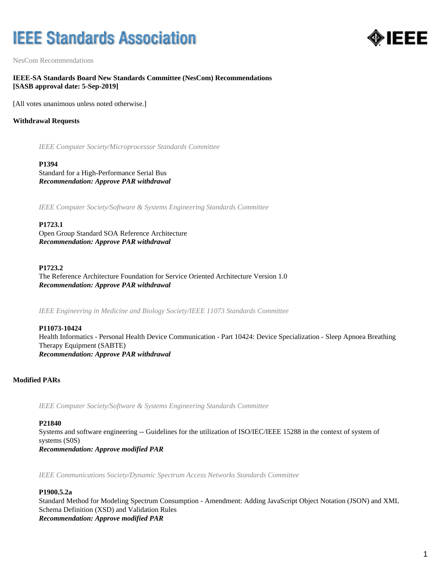# **IEEE Standards Association**



NesCom Recommendations

**IEEE-SA Standards Board New Standards Committee (NesCom) Recommendations [SASB approval date: 5-Sep-2019]**

[All votes unanimous unless noted otherwise.]

# **Withdrawal Requests**

*IEEE Computer Society/Microprocessor Standards Committee*

**P1394** Standard for a High-Performance Serial Bus *Recommendation: Approve PAR withdrawal*

*IEEE Computer Society/Software & Systems Engineering Standards Committee*

## **P1723.1**

Open Group Standard SOA Reference Architecture *Recommendation: Approve PAR withdrawal*

## **P1723.2**

The Reference Architecture Foundation for Service Oriented Architecture Version 1.0 *Recommendation: Approve PAR withdrawal*

*IEEE Engineering in Medicine and Biology Society/IEEE 11073 Standards Committee*

### **P11073-10424**

Health Informatics - Personal Health Device Communication - Part 10424: Device Specialization - Sleep Apnoea Breathing Therapy Equipment (SABTE) *Recommendation: Approve PAR withdrawal*

# **Modified PARs**

*IEEE Computer Society/Software & Systems Engineering Standards Committee*

#### **P21840**

Systems and software engineering -- Guidelines for the utilization of ISO/IEC/IEEE 15288 in the context of system of systems (S0S) *Recommendation: Approve modified PAR*

*IEEE Communications Society/Dynamic Spectrum Access Networks Standards Committee*

# **P1900.5.2a**

Standard Method for Modeling Spectrum Consumption - Amendment: Adding JavaScript Object Notation (JSON) and XML Schema Definition (XSD) and Validation Rules *Recommendation: Approve modified PAR*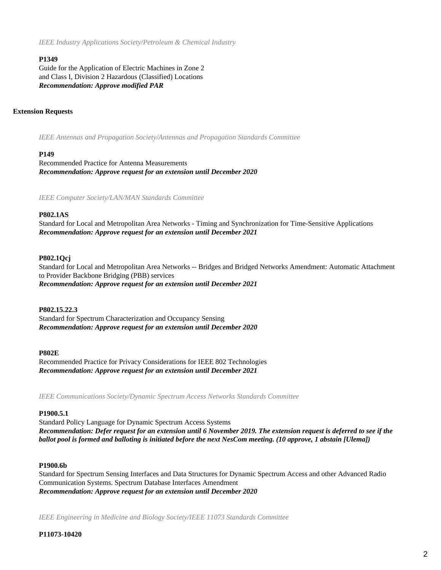*IEEE Industry Applications Society/Petroleum & Chemical Industry*

# **P1349**

Guide for the Application of Electric Machines in Zone 2 and Class I, Division 2 Hazardous (Classified) Locations *Recommendation: Approve modified PAR*

# **Extension Requests**

*IEEE Antennas and Propagation Society/Antennas and Propagation Standards Committee*

# **P149**

Recommended Practice for Antenna Measurements *Recommendation: Approve request for an extension until December 2020*

*IEEE Computer Society/LAN/MAN Standards Committee*

# **P802.1AS**

Standard for Local and Metropolitan Area Networks - Timing and Synchronization for Time-Sensitive Applications *Recommendation: Approve request for an extension until December 2021*

# **P802.1Qcj**

Standard for Local and Metropolitan Area Networks -- Bridges and Bridged Networks Amendment: Automatic Attachment to Provider Backbone Bridging (PBB) services *Recommendation: Approve request for an extension until December 2021*

# **P802.15.22.3**

Standard for Spectrum Characterization and Occupancy Sensing *Recommendation: Approve request for an extension until December 2020*

# **P802E**

Recommended Practice for Privacy Considerations for IEEE 802 Technologies *Recommendation: Approve request for an extension until December 2021*

*IEEE Communications Society/Dynamic Spectrum Access Networks Standards Committee*

# **P1900.5.1**

Standard Policy Language for Dynamic Spectrum Access Systems *Recommendation: Defer request for an extension until 6 November 2019. The extension request is deferred to see if the ballot pool is formed and balloting is initiated before the next NesCom meeting. (10 approve, 1 abstain [Ulema])*

# **P1900.6b**

Standard for Spectrum Sensing Interfaces and Data Structures for Dynamic Spectrum Access and other Advanced Radio Communication Systems. Spectrum Database Interfaces Amendment *Recommendation: Approve request for an extension until December 2020*

*IEEE Engineering in Medicine and Biology Society/IEEE 11073 Standards Committee*

# **P11073-10420**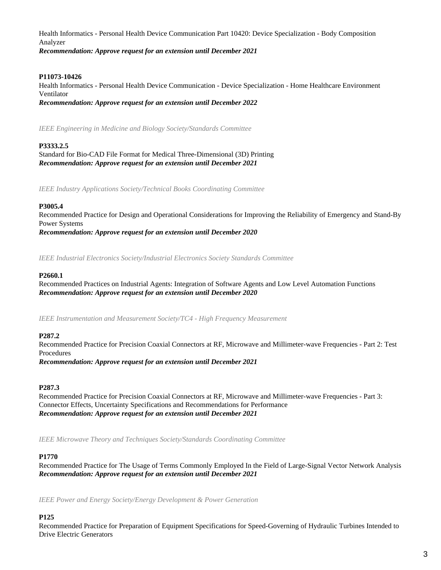Health Informatics - Personal Health Device Communication Part 10420: Device Specialization - Body Composition Analyzer

*Recommendation: Approve request for an extension until December 2021*

# **P11073-10426**

Health Informatics - Personal Health Device Communication - Device Specialization - Home Healthcare Environment Ventilator *Recommendation: Approve request for an extension until December 2022*

*IEEE Engineering in Medicine and Biology Society/Standards Committee*

# **P3333.2.5**

Standard for Bio-CAD File Format for Medical Three-Dimensional (3D) Printing *Recommendation: Approve request for an extension until December 2021*

*IEEE Industry Applications Society/Technical Books Coordinating Committee*

# **P3005.4**

Recommended Practice for Design and Operational Considerations for Improving the Reliability of Emergency and Stand-By Power Systems

*Recommendation: Approve request for an extension until December 2020*

*IEEE Industrial Electronics Society/Industrial Electronics Society Standards Committee*

# **P2660.1**

Recommended Practices on Industrial Agents: Integration of Software Agents and Low Level Automation Functions *Recommendation: Approve request for an extension until December 2020*

*IEEE Instrumentation and Measurement Society/TC4 - High Frequency Measurement*

# **P287.2**

Recommended Practice for Precision Coaxial Connectors at RF, Microwave and Millimeter-wave Frequencies - Part 2: Test Procedures

*Recommendation: Approve request for an extension until December 2021*

# **P287.3**

Recommended Practice for Precision Coaxial Connectors at RF, Microwave and Millimeter-wave Frequencies - Part 3: Connector Effects, Uncertainty Specifications and Recommendations for Performance *Recommendation: Approve request for an extension until December 2021*

*IEEE Microwave Theory and Techniques Society/Standards Coordinating Committee*

# **P1770**

Recommended Practice for The Usage of Terms Commonly Employed In the Field of Large-Signal Vector Network Analysis *Recommendation: Approve request for an extension until December 2021*

*IEEE Power and Energy Society/Energy Development & Power Generation*

# **P125**

Recommended Practice for Preparation of Equipment Specifications for Speed-Governing of Hydraulic Turbines Intended to Drive Electric Generators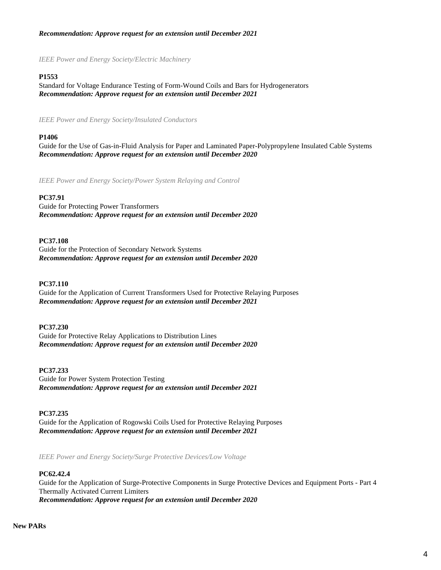# *Recommendation: Approve request for an extension until December 2021*

*IEEE Power and Energy Society/Electric Machinery*

# **P1553**

Standard for Voltage Endurance Testing of Form-Wound Coils and Bars for Hydrogenerators *Recommendation: Approve request for an extension until December 2021*

*IEEE Power and Energy Society/Insulated Conductors*

### **P1406**

Guide for the Use of Gas-in-Fluid Analysis for Paper and Laminated Paper-Polypropylene Insulated Cable Systems *Recommendation: Approve request for an extension until December 2020*

*IEEE Power and Energy Society/Power System Relaying and Control*

## **PC37.91**

Guide for Protecting Power Transformers *Recommendation: Approve request for an extension until December 2020*

#### **PC37.108**

Guide for the Protection of Secondary Network Systems *Recommendation: Approve request for an extension until December 2020*

# **PC37.110**

Guide for the Application of Current Transformers Used for Protective Relaying Purposes *Recommendation: Approve request for an extension until December 2021*

#### **PC37.230**

Guide for Protective Relay Applications to Distribution Lines *Recommendation: Approve request for an extension until December 2020*

#### **PC37.233**

Guide for Power System Protection Testing *Recommendation: Approve request for an extension until December 2021*

**PC37.235** Guide for the Application of Rogowski Coils Used for Protective Relaying Purposes *Recommendation: Approve request for an extension until December 2021*

*IEEE Power and Energy Society/Surge Protective Devices/Low Voltage*

#### **PC62.42.4**

Guide for the Application of Surge-Protective Components in Surge Protective Devices and Equipment Ports - Part 4 Thermally Activated Current Limiters *Recommendation: Approve request for an extension until December 2020*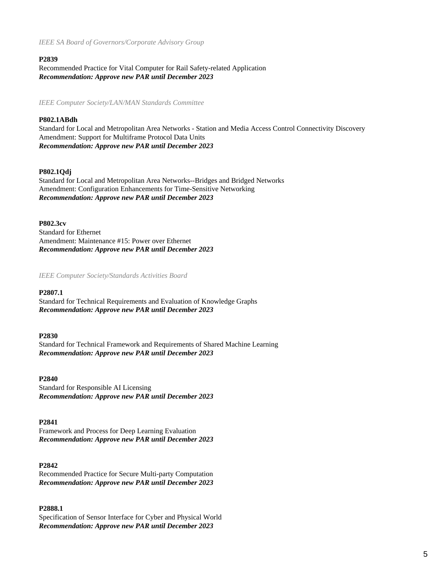*IEEE SA Board of Governors/Corporate Advisory Group*

### **P2839**

Recommended Practice for Vital Computer for Rail Safety-related Application *Recommendation: Approve new PAR until December 2023*

*IEEE Computer Society/LAN/MAN Standards Committee*

#### **P802.1ABdh**

Standard for Local and Metropolitan Area Networks - Station and Media Access Control Connectivity Discovery Amendment: Support for Multiframe Protocol Data Units *Recommendation: Approve new PAR until December 2023*

## **P802.1Qdj**

Standard for Local and Metropolitan Area Networks--Bridges and Bridged Networks Amendment: Configuration Enhancements for Time-Sensitive Networking *Recommendation: Approve new PAR until December 2023*

**P802.3cv** Standard for Ethernet Amendment: Maintenance #15: Power over Ethernet *Recommendation: Approve new PAR until December 2023*

*IEEE Computer Society/Standards Activities Board*

#### **P2807.1**

Standard for Technical Requirements and Evaluation of Knowledge Graphs *Recommendation: Approve new PAR until December 2023*

#### **P2830**

Standard for Technical Framework and Requirements of Shared Machine Learning *Recommendation: Approve new PAR until December 2023*

#### **P2840**

Standard for Responsible AI Licensing *Recommendation: Approve new PAR until December 2023*

#### **P2841**

Framework and Process for Deep Learning Evaluation *Recommendation: Approve new PAR until December 2023*

#### **P2842**

Recommended Practice for Secure Multi-party Computation *Recommendation: Approve new PAR until December 2023*

#### **P2888.1**

Specification of Sensor Interface for Cyber and Physical World *Recommendation: Approve new PAR until December 2023*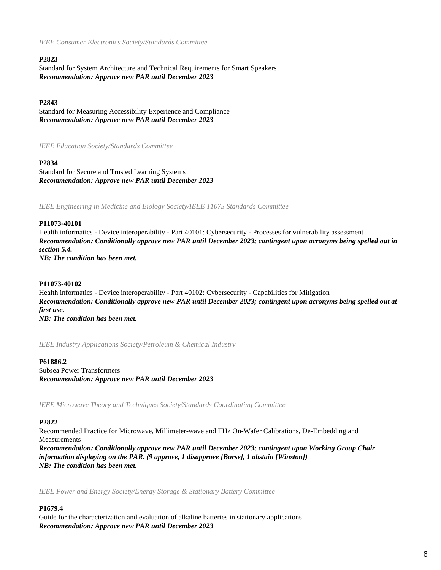*IEEE Consumer Electronics Society/Standards Committee*

## **P2823**

Standard for System Architecture and Technical Requirements for Smart Speakers *Recommendation: Approve new PAR until December 2023*

## **P2843**

Standard for Measuring Accessibility Experience and Compliance *Recommendation: Approve new PAR until December 2023*

*IEEE Education Society/Standards Committee*

#### **P2834**

Standard for Secure and Trusted Learning Systems *Recommendation: Approve new PAR until December 2023*

*IEEE Engineering in Medicine and Biology Society/IEEE 11073 Standards Committee*

#### **P11073-40101**

Health informatics - Device interoperability - Part 40101: Cybersecurity - Processes for vulnerability assessment *Recommendation: Conditionally approve new PAR until December 2023; contingent upon acronyms being spelled out in section 5.4. NB: The condition has been met.*

### **P11073-40102**

Health informatics - Device interoperability - Part 40102: Cybersecurity - Capabilities for Mitigation *Recommendation: Conditionally approve new PAR until December 2023; contingent upon acronyms being spelled out at first use. NB: The condition has been met.*

*IEEE Industry Applications Society/Petroleum & Chemical Industry*

# **P61886.2** Subsea Power Transformers *Recommendation: Approve new PAR until December 2023*

*IEEE Microwave Theory and Techniques Society/Standards Coordinating Committee*

#### **P2822**

Recommended Practice for Microwave, Millimeter-wave and THz On-Wafer Calibrations, De-Embedding and Measurements *Recommendation: Conditionally approve new PAR until December 2023; contingent upon Working Group Chair information displaying on the PAR. (9 approve, 1 disapprove [Burse], 1 abstain [Winston]) NB: The condition has been met.*

*IEEE Power and Energy Society/Energy Storage & Stationary Battery Committee*

#### **P1679.4**

Guide for the characterization and evaluation of alkaline batteries in stationary applications *Recommendation: Approve new PAR until December 2023*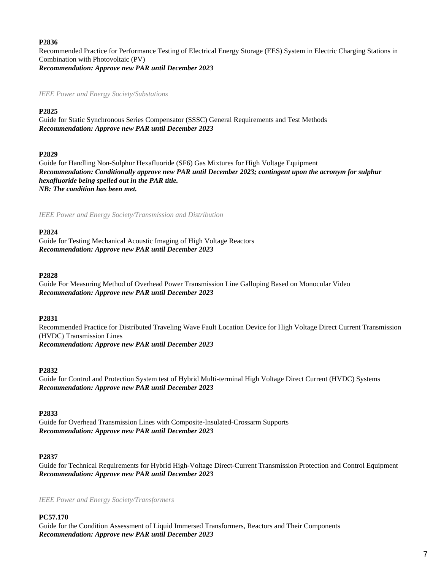# **P2836**

Recommended Practice for Performance Testing of Electrical Energy Storage (EES) System in Electric Charging Stations in Combination with Photovoltaic (PV) *Recommendation: Approve new PAR until December 2023*

*IEEE Power and Energy Society/Substations*

# **P2825**

Guide for Static Synchronous Series Compensator (SSSC) General Requirements and Test Methods *Recommendation: Approve new PAR until December 2023*

# **P2829**

Guide for Handling Non-Sulphur Hexafluoride (SF6) Gas Mixtures for High Voltage Equipment *Recommendation: Conditionally approve new PAR until December 2023; contingent upon the acronym for sulphur hexafluoride being spelled out in the PAR title. NB: The condition has been met.*

*IEEE Power and Energy Society/Transmission and Distribution*

# **P2824**

Guide for Testing Mechanical Acoustic Imaging of High Voltage Reactors *Recommendation: Approve new PAR until December 2023*

# **P2828**

Guide For Measuring Method of Overhead Power Transmission Line Galloping Based on Monocular Video *Recommendation: Approve new PAR until December 2023*

# **P2831**

Recommended Practice for Distributed Traveling Wave Fault Location Device for High Voltage Direct Current Transmission (HVDC) Transmission Lines *Recommendation: Approve new PAR until December 2023*

# **P2832**

Guide for Control and Protection System test of Hybrid Multi-terminal High Voltage Direct Current (HVDC) Systems *Recommendation: Approve new PAR until December 2023*

# **P2833**

Guide for Overhead Transmission Lines with Composite-Insulated-Crossarm Supports *Recommendation: Approve new PAR until December 2023*

# **P2837**

Guide for Technical Requirements for Hybrid High-Voltage Direct-Current Transmission Protection and Control Equipment *Recommendation: Approve new PAR until December 2023*

*IEEE Power and Energy Society/Transformers*

# **PC57.170**

Guide for the Condition Assessment of Liquid Immersed Transformers, Reactors and Their Components *Recommendation: Approve new PAR until December 2023*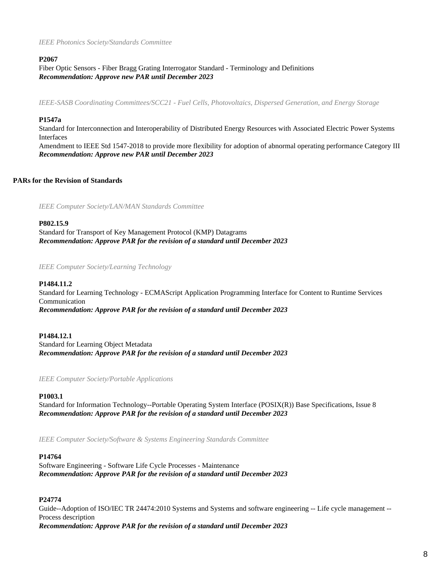*IEEE Photonics Society/Standards Committee*

# **P2067**

Fiber Optic Sensors - Fiber Bragg Grating Interrogator Standard - Terminology and Definitions *Recommendation: Approve new PAR until December 2023*

*IEEE-SASB Coordinating Committees/SCC21 - Fuel Cells, Photovoltaics, Dispersed Generation, and Energy Storage*

# **P1547a**

Standard for Interconnection and Interoperability of Distributed Energy Resources with Associated Electric Power Systems Interfaces

Amendment to IEEE Std 1547-2018 to provide more flexibility for adoption of abnormal operating performance Category III *Recommendation: Approve new PAR until December 2023*

# **PARs for the Revision of Standards**

*IEEE Computer Society/LAN/MAN Standards Committee*

#### **P802.15.9**

Standard for Transport of Key Management Protocol (KMP) Datagrams *Recommendation: Approve PAR for the revision of a standard until December 2023*

*IEEE Computer Society/Learning Technology*

## **P1484.11.2**

Standard for Learning Technology - ECMAScript Application Programming Interface for Content to Runtime Services Communication *Recommendation: Approve PAR for the revision of a standard until December 2023*

**P1484.12.1** Standard for Learning Object Metadata *Recommendation: Approve PAR for the revision of a standard until December 2023*

*IEEE Computer Society/Portable Applications*

# **P1003.1**

Standard for Information Technology--Portable Operating System Interface (POSIX(R)) Base Specifications, Issue 8 *Recommendation: Approve PAR for the revision of a standard until December 2023*

*IEEE Computer Society/Software & Systems Engineering Standards Committee*

# **P14764**

Software Engineering - Software Life Cycle Processes - Maintenance *Recommendation: Approve PAR for the revision of a standard until December 2023*

# **P24774**

Guide--Adoption of ISO/IEC TR 24474:2010 Systems and Systems and software engineering -- Life cycle management -- Process description *Recommendation: Approve PAR for the revision of a standard until December 2023*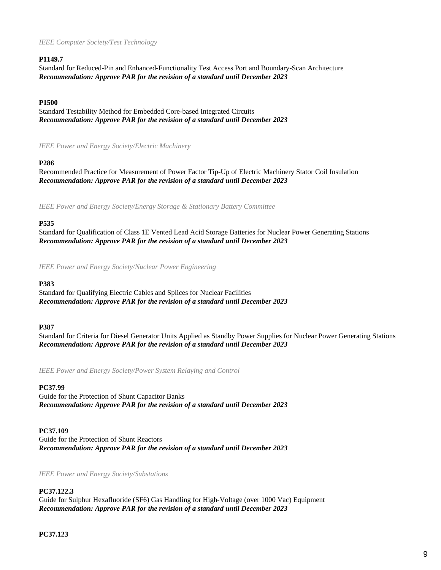*IEEE Computer Society/Test Technology*

# **P1149.7**

Standard for Reduced-Pin and Enhanced-Functionality Test Access Port and Boundary-Scan Architecture *Recommendation: Approve PAR for the revision of a standard until December 2023*

# **P1500**

Standard Testability Method for Embedded Core-based Integrated Circuits *Recommendation: Approve PAR for the revision of a standard until December 2023*

*IEEE Power and Energy Society/Electric Machinery*

# **P286**

Recommended Practice for Measurement of Power Factor Tip-Up of Electric Machinery Stator Coil Insulation *Recommendation: Approve PAR for the revision of a standard until December 2023*

*IEEE Power and Energy Society/Energy Storage & Stationary Battery Committee*

# **P535**

Standard for Qualification of Class 1E Vented Lead Acid Storage Batteries for Nuclear Power Generating Stations *Recommendation: Approve PAR for the revision of a standard until December 2023*

*IEEE Power and Energy Society/Nuclear Power Engineering*

#### **P383**

Standard for Qualifying Electric Cables and Splices for Nuclear Facilities *Recommendation: Approve PAR for the revision of a standard until December 2023*

#### **P387**

Standard for Criteria for Diesel Generator Units Applied as Standby Power Supplies for Nuclear Power Generating Stations *Recommendation: Approve PAR for the revision of a standard until December 2023*

*IEEE Power and Energy Society/Power System Relaying and Control*

# **PC37.99**

Guide for the Protection of Shunt Capacitor Banks *Recommendation: Approve PAR for the revision of a standard until December 2023*

#### **PC37.109**

Guide for the Protection of Shunt Reactors *Recommendation: Approve PAR for the revision of a standard until December 2023*

*IEEE Power and Energy Society/Substations*

# **PC37.122.3**

Guide for Sulphur Hexafluoride (SF6) Gas Handling for High-Voltage (over 1000 Vac) Equipment *Recommendation: Approve PAR for the revision of a standard until December 2023*